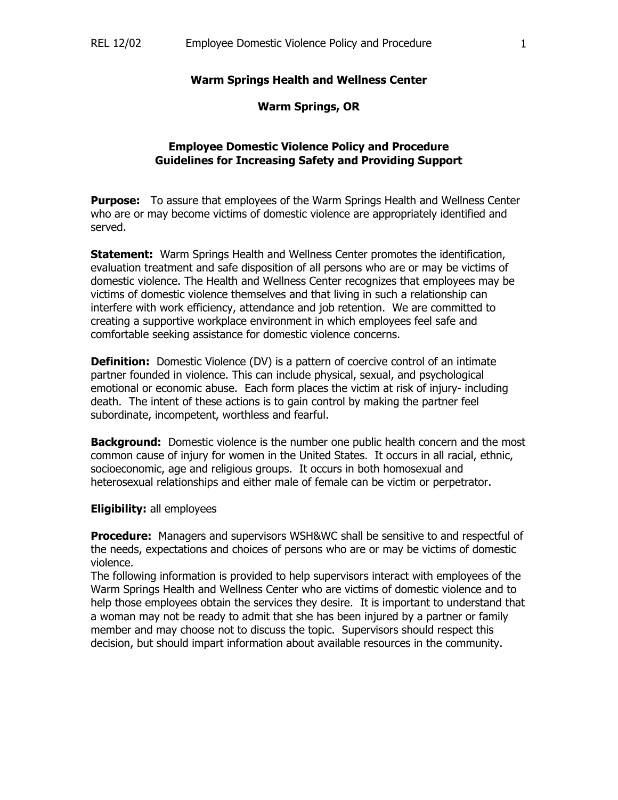### **Warm Springs Health and Wellness Center**

### **Warm Springs, OR**

## **Employee Domestic Violence Policy and Procedure Guidelines for Increasing Safety and Providing Support**

**Purpose:** To assure that employees of the Warm Springs Health and Wellness Center who are or may become victims of domestic violence are appropriately identified and served.

**Statement:** Warm Springs Health and Wellness Center promotes the identification, evaluation treatment and safe disposition of all persons who are or may be victims of domestic violence. The Health and Wellness Center recognizes that employees may be victims of domestic violence themselves and that living in such a relationship can interfere with work efficiency, attendance and job retention. We are committed to creating a supportive workplace environment in which employees feel safe and comfortable seeking assistance for domestic violence concerns.

**Definition:** Domestic Violence (DV) is a pattern of coercive control of an intimate partner founded in violence. This can include physical, sexual, and psychological emotional or economic abuse. Each form places the victim at risk of injury- including death. The intent of these actions is to gain control by making the partner feel subordinate, incompetent, worthless and fearful.

**Background:** Domestic violence is the number one public health concern and the most common cause of injury for women in the United States. It occurs in all racial, ethnic, socioeconomic, age and religious groups. It occurs in both homosexual and heterosexual relationships and either male of female can be victim or perpetrator.

### **Eligibility:** all employees

**Procedure:** Managers and supervisors WSH&WC shall be sensitive to and respectful of the needs, expectations and choices of persons who are or may be victims of domestic violence.

The following information is provided to help supervisors interact with employees of the Warm Springs Health and Wellness Center who are victims of domestic violence and to help those employees obtain the services they desire. It is important to understand that a woman may not be ready to admit that she has been injured by a partner or family member and may choose not to discuss the topic. Supervisors should respect this decision, but should impart information about available resources in the community.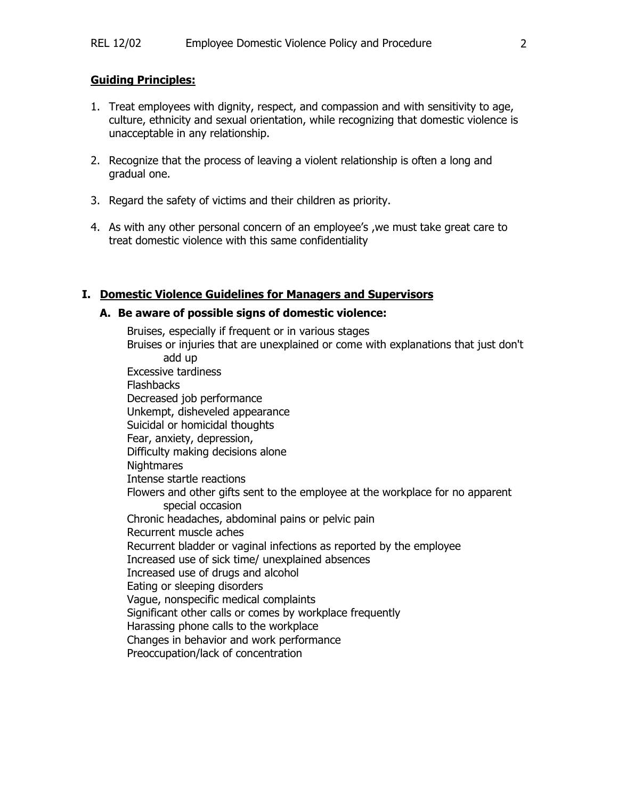### **Guiding Principles:**

- 1. Treat employees with dignity, respect, and compassion and with sensitivity to age, culture, ethnicity and sexual orientation, while recognizing that domestic violence is unacceptable in any relationship.
- 2. Recognize that the process of leaving a violent relationship is often a long and gradual one.
- 3. Regard the safety of victims and their children as priority.
- 4. As with any other personal concern of an employee's ,we must take great care to treat domestic violence with this same confidentiality

## **I. Domestic Violence Guidelines for Managers and Supervisors**

### **A. Be aware of possible signs of domestic violence:**

Bruises, especially if frequent or in various stages Bruises or injuries that are unexplained or come with explanations that just don't add up Excessive tardiness **Flashbacks**  Decreased job performance Unkempt, disheveled appearance Suicidal or homicidal thoughts Fear, anxiety, depression, Difficulty making decisions alone **Nightmares**  Intense startle reactions Flowers and other gifts sent to the employee at the workplace for no apparent special occasion Chronic headaches, abdominal pains or pelvic pain Recurrent muscle aches Recurrent bladder or vaginal infections as reported by the employee Increased use of sick time/ unexplained absences Increased use of drugs and alcohol Eating or sleeping disorders Vague, nonspecific medical complaints Significant other calls or comes by workplace frequently Harassing phone calls to the workplace Changes in behavior and work performance Preoccupation/lack of concentration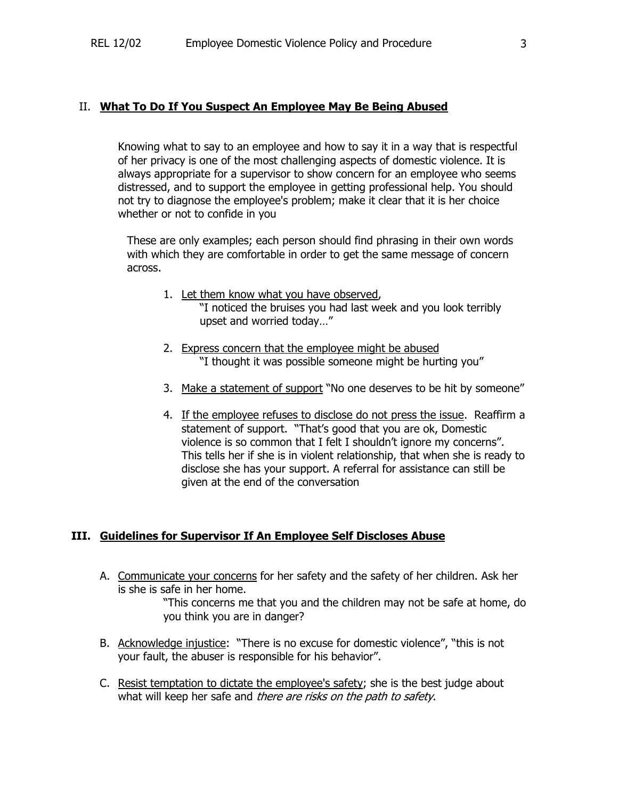### II. **What To Do If You Suspect An Employee May Be Being Abused**

Knowing what to say to an employee and how to say it in a way that is respectful of her privacy is one of the most challenging aspects of domestic violence. It is always appropriate for a supervisor to show concern for an employee who seems distressed, and to support the employee in getting professional help. You should not try to diagnose the employee's problem; make it clear that it is her choice whether or not to confide in you

 These are only examples; each person should find phrasing in their own words with which they are comfortable in order to get the same message of concern across.

- 1. Let them know what you have observed, "I noticed the bruises you had last week and you look terribly upset and worried today…"
- 2. Express concern that the employee might be abused "I thought it was possible someone might be hurting you"
- 3. Make a statement of support "No one deserves to be hit by someone"
- 4. If the employee refuses to disclose do not press the issue. Reaffirm a statement of support. "That's good that you are ok, Domestic violence is so common that I felt I shouldn't ignore my concerns". This tells her if she is in violent relationship, that when she is ready to disclose she has your support. A referral for assistance can still be given at the end of the conversation

### **III. Guidelines for Supervisor If An Employee Self Discloses Abuse**

A. Communicate your concerns for her safety and the safety of her children. Ask her is she is safe in her home.

> "This concerns me that you and the children may not be safe at home, do you think you are in danger?

- B. Acknowledge injustice: "There is no excuse for domestic violence", "this is not your fault, the abuser is responsible for his behavior".
- C. Resist temptation to dictate the employee's safety; she is the best judge about what will keep her safe and there are risks on the path to safety.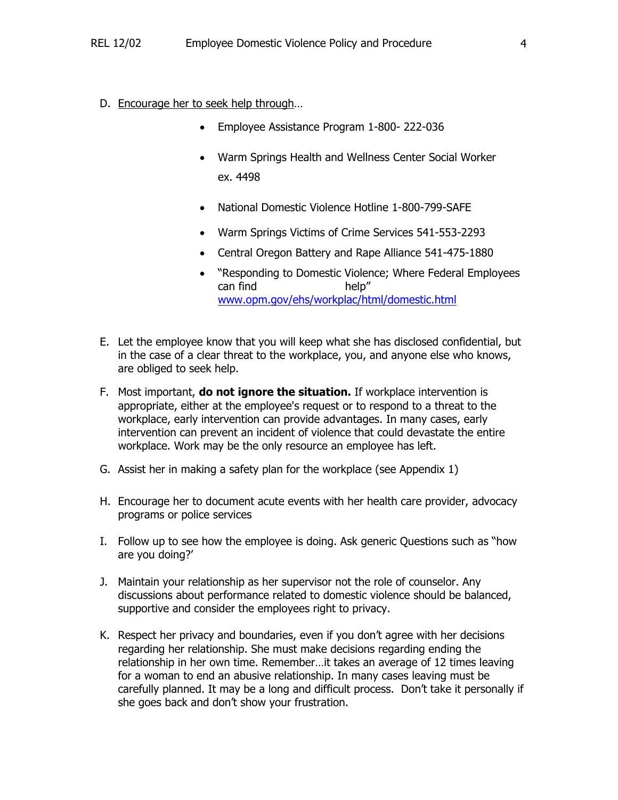- D. Encourage her to seek help through…
	- Employee Assistance Program 1-800- 222-036
	- Warm Springs Health and Wellness Center Social Worker ex. 4498
	- National Domestic Violence Hotline 1-800-799-SAFE
	- Warm Springs Victims of Crime Services 541-553-2293
	- Central Oregon Battery and Rape Alliance 541-475-1880
	- "Responding to Domestic Violence; Where Federal Employees can find help" www.opm.gov/ehs/workplac/html/domestic.html
- E. Let the employee know that you will keep what she has disclosed confidential, but in the case of a clear threat to the workplace, you, and anyone else who knows, are obliged to seek help.
- F. Most important, **do not ignore the situation.** If workplace intervention is appropriate, either at the employee's request or to respond to a threat to the workplace, early intervention can provide advantages. In many cases, early intervention can prevent an incident of violence that could devastate the entire workplace. Work may be the only resource an employee has left.
- G. Assist her in making a safety plan for the workplace (see Appendix 1)
- H. Encourage her to document acute events with her health care provider, advocacy programs or police services
- I. Follow up to see how the employee is doing. Ask generic Questions such as "how are you doing?'
- J. Maintain your relationship as her supervisor not the role of counselor. Any discussions about performance related to domestic violence should be balanced, supportive and consider the employees right to privacy.
- K. Respect her privacy and boundaries, even if you don't agree with her decisions regarding her relationship. She must make decisions regarding ending the relationship in her own time. Remember…it takes an average of 12 times leaving for a woman to end an abusive relationship. In many cases leaving must be carefully planned. It may be a long and difficult process. Don't take it personally if she goes back and don't show your frustration.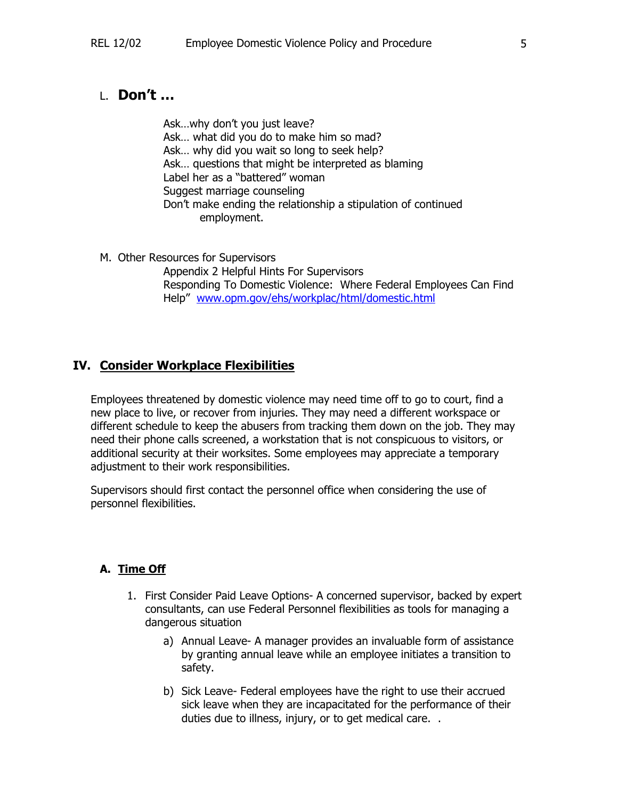# L. **Don't …**

Ask…why don't you just leave? Ask… what did you do to make him so mad? Ask… why did you wait so long to seek help? Ask… questions that might be interpreted as blaming Label her as a "battered" woman Suggest marriage counseling Don't make ending the relationship a stipulation of continued employment.

M. Other Resources for Supervisors

 Appendix 2 Helpful Hints For Supervisors Responding To Domestic Violence: Where Federal Employees Can Find Help" www.opm.gov/ehs/workplac/html/domestic.html

## **IV. Consider Workplace Flexibilities**

Employees threatened by domestic violence may need time off to go to court, find a new place to live, or recover from injuries. They may need a different workspace or different schedule to keep the abusers from tracking them down on the job. They may need their phone calls screened, a workstation that is not conspicuous to visitors, or additional security at their worksites. Some employees may appreciate a temporary adjustment to their work responsibilities.

Supervisors should first contact the personnel office when considering the use of personnel flexibilities.

## **A. Time Off**

- 1. First Consider Paid Leave Options- A concerned supervisor, backed by expert consultants, can use Federal Personnel flexibilities as tools for managing a dangerous situation
	- a) Annual Leave- A manager provides an invaluable form of assistance by granting annual leave while an employee initiates a transition to safety.
	- b) Sick Leave- Federal employees have the right to use their accrued sick leave when they are incapacitated for the performance of their duties due to illness, injury, or to get medical care. .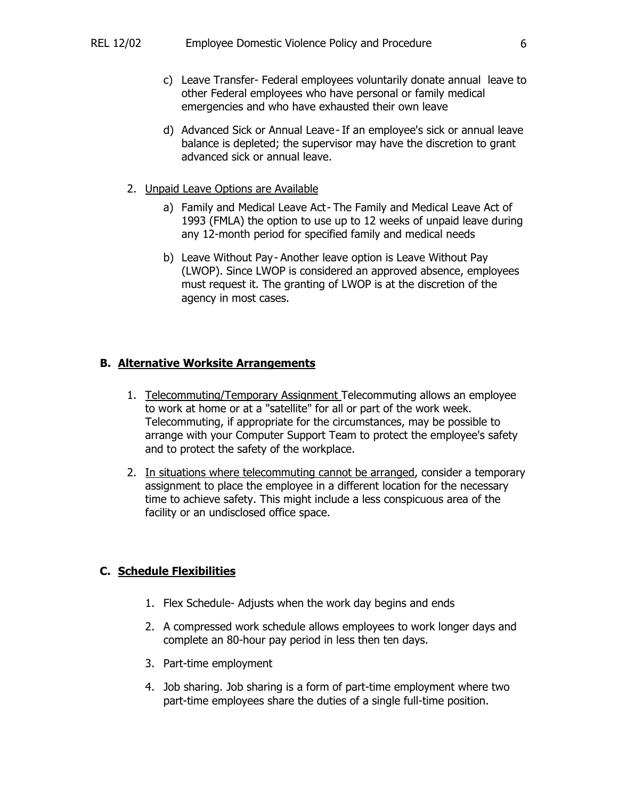- c) Leave Transfer- Federal employees voluntarily donate annual leave to other Federal employees who have personal or family medical emergencies and who have exhausted their own leave
- d) Advanced Sick or Annual Leave- If an employee's sick or annual leave balance is depleted; the supervisor may have the discretion to grant advanced sick or annual leave.
- 2. Unpaid Leave Options are Available
	- a) Family and Medical Leave Act- The Family and Medical Leave Act of 1993 (FMLA) the option to use up to 12 weeks of unpaid leave during any 12-month period for specified family and medical needs
	- b) Leave Without Pay- Another leave option is Leave Without Pay (LWOP). Since LWOP is considered an approved absence, employees must request it. The granting of LWOP is at the discretion of the agency in most cases.

## **B. Alternative Worksite Arrangements**

- 1. Telecommuting/Temporary Assignment Telecommuting allows an employee to work at home or at a "satellite" for all or part of the work week. Telecommuting, if appropriate for the circumstances, may be possible to arrange with your Computer Support Team to protect the employee's safety and to protect the safety of the workplace.
- 2. In situations where telecommuting cannot be arranged, consider a temporary assignment to place the employee in a different location for the necessary time to achieve safety. This might include a less conspicuous area of the facility or an undisclosed office space.

## **C. Schedule Flexibilities**

- 1. Flex Schedule- Adjusts when the work day begins and ends
- 2. A compressed work schedule allows employees to work longer days and complete an 80-hour pay period in less then ten days.
- 3. Part-time employment
- 4. Job sharing. Job sharing is a form of part-time employment where two part-time employees share the duties of a single full-time position.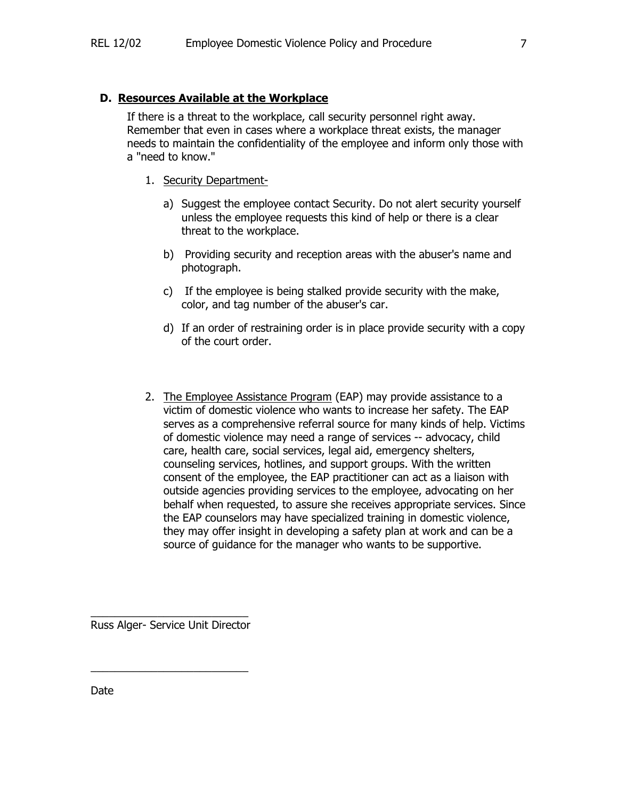## **D. Resources Available at the Workplace**

 If there is a threat to the workplace, call security personnel right away. Remember that even in cases where a workplace threat exists, the manager needs to maintain the confidentiality of the employee and inform only those with a "need to know."

- 1. Security Department
	- a) Suggest the employee contact Security. Do not alert security yourself unless the employee requests this kind of help or there is a clear threat to the workplace.
	- b) Providing security and reception areas with the abuser's name and photograph.
	- c) If the employee is being stalked provide security with the make, color, and tag number of the abuser's car.
	- d) If an order of restraining order is in place provide security with a copy of the court order.
- 2. The Employee Assistance Program (EAP) may provide assistance to a victim of domestic violence who wants to increase her safety. The EAP serves as a comprehensive referral source for many kinds of help. Victims of domestic violence may need a range of services -- advocacy, child care, health care, social services, legal aid, emergency shelters, counseling services, hotlines, and support groups. With the written consent of the employee, the EAP practitioner can act as a liaison with outside agencies providing services to the employee, advocating on her behalf when requested, to assure she receives appropriate services. Since the EAP counselors may have specialized training in domestic violence, they may offer insight in developing a safety plan at work and can be a source of guidance for the manager who wants to be supportive.

\_\_\_\_\_\_\_\_\_\_\_\_\_\_\_\_\_\_\_\_\_\_\_\_\_\_ Russ Alger- Service Unit Director

\_\_\_\_\_\_\_\_\_\_\_\_\_\_\_\_\_\_\_\_\_\_\_\_\_\_

Date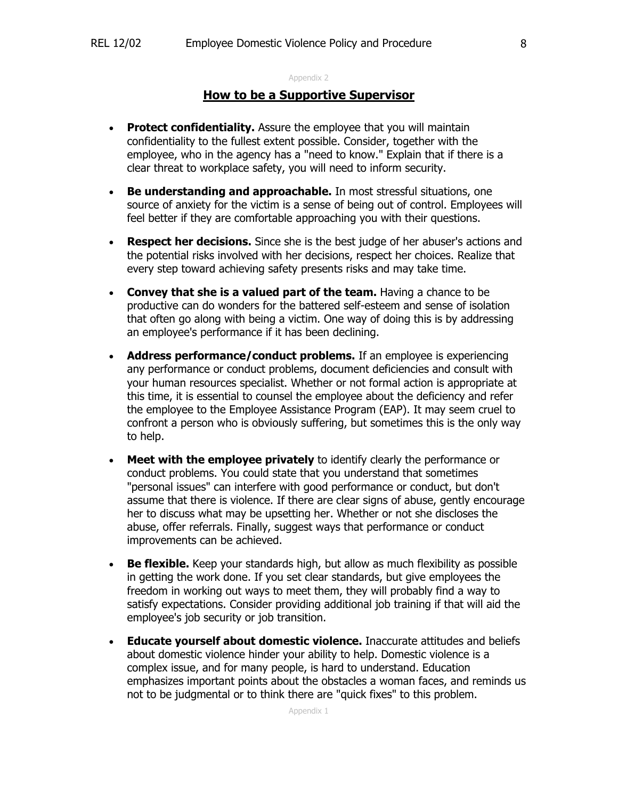#### Appendix 2

## **How to be a Supportive Supervisor**

- **Protect confidentiality.** Assure the employee that you will maintain confidentiality to the fullest extent possible. Consider, together with the employee, who in the agency has a "need to know." Explain that if there is a clear threat to workplace safety, you will need to inform security.
- **Be understanding and approachable.** In most stressful situations, one source of anxiety for the victim is a sense of being out of control. Employees will feel better if they are comfortable approaching you with their questions.
- **Respect her decisions.** Since she is the best judge of her abuser's actions and the potential risks involved with her decisions, respect her choices. Realize that every step toward achieving safety presents risks and may take time.
- **Convey that she is a valued part of the team.** Having a chance to be productive can do wonders for the battered self-esteem and sense of isolation that often go along with being a victim. One way of doing this is by addressing an employee's performance if it has been declining.
- **Address performance/conduct problems.** If an employee is experiencing any performance or conduct problems, document deficiencies and consult with your human resources specialist. Whether or not formal action is appropriate at this time, it is essential to counsel the employee about the deficiency and refer the employee to the Employee Assistance Program (EAP). It may seem cruel to confront a person who is obviously suffering, but sometimes this is the only way to help.
- **Meet with the employee privately** to identify clearly the performance or conduct problems. You could state that you understand that sometimes "personal issues" can interfere with good performance or conduct, but don't assume that there is violence. If there are clear signs of abuse, gently encourage her to discuss what may be upsetting her. Whether or not she discloses the abuse, offer referrals. Finally, suggest ways that performance or conduct improvements can be achieved.
- **Be flexible.** Keep your standards high, but allow as much flexibility as possible in getting the work done. If you set clear standards, but give employees the freedom in working out ways to meet them, they will probably find a way to satisfy expectations. Consider providing additional job training if that will aid the employee's job security or job transition.
- **Educate yourself about domestic violence.** Inaccurate attitudes and beliefs about domestic violence hinder your ability to help. Domestic violence is a complex issue, and for many people, is hard to understand. Education emphasizes important points about the obstacles a woman faces, and reminds us not to be judgmental or to think there are "quick fixes" to this problem.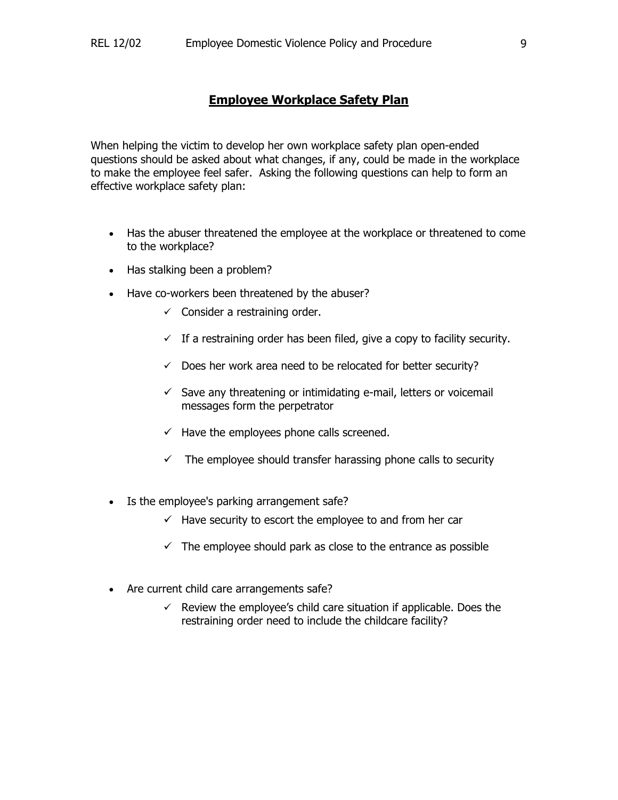## **Employee Workplace Safety Plan**

When helping the victim to develop her own workplace safety plan open-ended questions should be asked about what changes, if any, could be made in the workplace to make the employee feel safer. Asking the following questions can help to form an effective workplace safety plan:

- Has the abuser threatened the employee at the workplace or threatened to come to the workplace?
- Has stalking been a problem?
- Have co-workers been threatened by the abuser?
	- $\checkmark$  Consider a restraining order.
	- $\checkmark$  If a restraining order has been filed, give a copy to facility security.
	- $\checkmark$  Does her work area need to be relocated for better security?
	- $\checkmark$  Save any threatening or intimidating e-mail, letters or voicemail messages form the perpetrator
	- $\checkmark$  Have the employees phone calls screened.
	- $\checkmark$  The employee should transfer harassing phone calls to security
- Is the employee's parking arrangement safe?
	- $\checkmark$  Have security to escort the employee to and from her car
	- $\checkmark$  The employee should park as close to the entrance as possible
- Are current child care arrangements safe?
	- $\checkmark$  Review the employee's child care situation if applicable. Does the restraining order need to include the childcare facility?